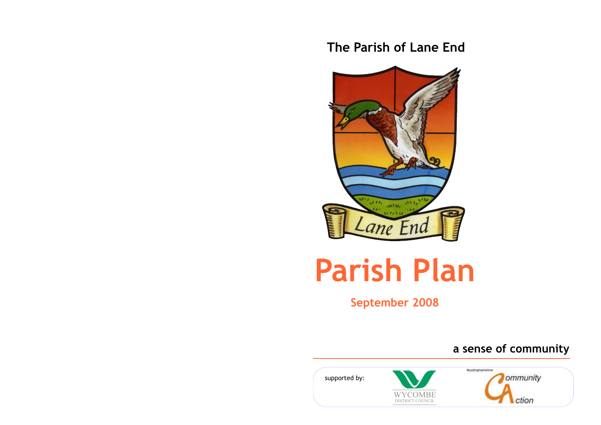# **The Parish of Lane End**



# **Parish Plan**

**September 2008**

 **a sense of community**

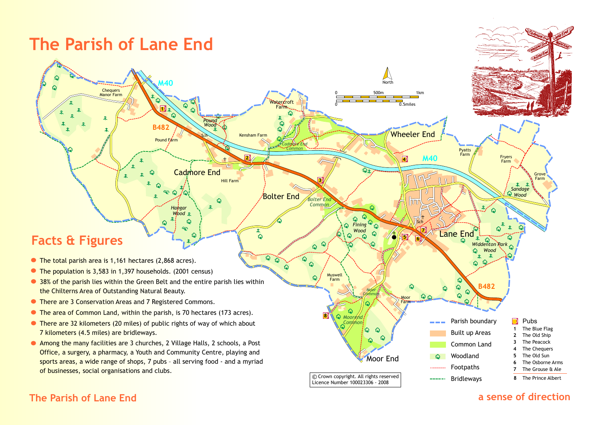

### **The Parish of Lane End**

### **a sense of direction**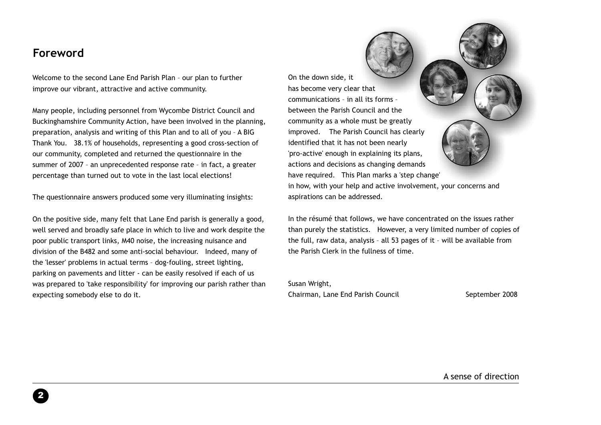# **Foreword**

Welcome to the second Lane End Parish Plan – our plan to further improve our vibrant, attractive and active community.

Many people, including personnel from Wycombe District Council and Buckinghamshire Community Action, have been involved in the planning, preparation, analysis and writing of this Plan and to all of you – A BIG Thank You. 38.1% of households, representing a good cross-section of our community, completed and returned the questionnaire in the summer of 2007 – an unprecedented response rate – in fact, a greater percentage than turned out to vote in the last local elections!

The questionnaire answers produced some very illuminating insights:

On the positive side, many felt that Lane End parish is generally a good, well served and broadly safe place in which to live and work despite the poor public transport links, M40 noise, the increasing nuisance and division of the B482 and some anti-social behaviour. Indeed, many of the 'lesser' problems in actual terms – dog-fouling, street lighting, parking on pavements and litter - can be easily resolved if each of us was prepared to 'take responsibility' for improving our parish rather than expecting somebody else to do it.

On the down side, it has become very clear that communications – in all its forms – between the Parish Council and the community as a whole must be greatly improved. The Parish Council has clearly identified that it has not been nearly 'pro-active' enough in explaining its plans, actions and decisions as changing demands have required. This Plan marks a 'step change'



in how, with your help and active involvement, your concerns and aspirations can be addressed.

In the résumé that follows, we have concentrated on the issues rather than purely the statistics. However, a very limited number of copies of the full, raw data, analysis – all 53 pages of it – will be available from the Parish Clerk in the fullness of time.

Susan Wright, Chairman, Lane End Parish Council **September 2008**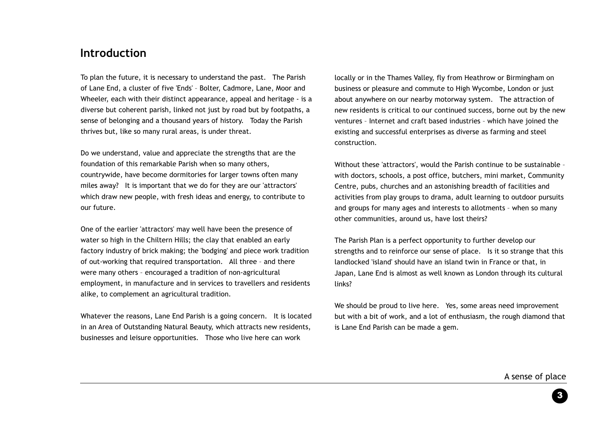### **Introduction**

To plan the future, it is necessary to understand the past. The Parish of Lane End, a cluster of five 'Ends' – Bolter, Cadmore, Lane, Moor and Wheeler, each with their distinct appearance, appeal and heritage - is a diverse but coherent parish, linked not just by road but by footpaths, a sense of belonging and a thousand years of history. Today the Parish thrives but, like so many rural areas, is under threat.

Do we understand, value and appreciate the strengths that are the foundation of this remarkable Parish when so many others, countrywide, have become dormitories for larger towns often many miles away? It is important that we do for they are our 'attractors' which draw new people, with fresh ideas and energy, to contribute to our future.

One of the earlier 'attractors' may well have been the presence of water so high in the Chiltern Hills; the clay that enabled an early factory industry of brick making; the 'bodging' and piece work tradition of out-working that required transportation. All three – and there were many others – encouraged a tradition of non-agricultural employment, in manufacture and in services to travellers and residents alike, to complement an agricultural tradition.

Whatever the reasons, Lane End Parish is a going concern. It is located in an Area of Outstanding Natural Beauty, which attracts new residents, businesses and leisure opportunities. Those who live here can work

locally or in the Thames Valley, fly from Heathrow or Birmingham on business or pleasure and commute to High Wycombe, London or just about anywhere on our nearby motorway system. The attraction of new residents is critical to our continued success, borne out by the new ventures – Internet and craft based industries – which have joined the existing and successful enterprises as diverse as farming and steel construction.

Without these 'attractors', would the Parish continue to be sustainable – with doctors, schools, a post office, butchers, mini market, Community Centre, pubs, churches and an astonishing breadth of facilities and activities from play groups to drama, adult learning to outdoor pursuits and groups for many ages and interests to allotments – when so many other communities, around us, have lost theirs?

The Parish Plan is a perfect opportunity to further develop our strengths and to reinforce our sense of place. Is it so strange that this landlocked 'island' should have an island twin in France or that, in Japan, Lane End is almost as well known as London through its cultural links?

We should be proud to live here. Yes, some areas need improvement but with a bit of work, and a lot of enthusiasm, the rough diamond that is Lane End Parish can be made a gem.

A sense of place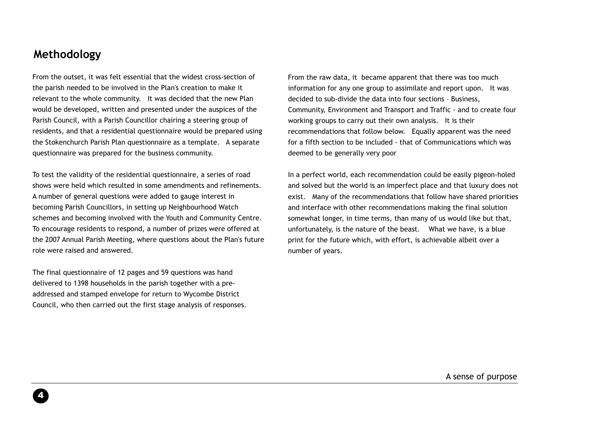## **Methodology**

From the outset, it was felt essential that the widest cross-section of the parish needed to be involved in the Plan's creation to make it relevant to the whole community. It was decided that the new Plan would be developed, written and presented under the auspices of the Parish Council, with a Parish Councillor chairing a steering group of residents, and that a residential questionnaire would be prepared using the Stokenchurch Parish Plan questionnaire as a template. A separate questionnaire was prepared for the business community.

To test the validity of the residential questionnaire, a series of road shows were held which resulted in some amendments and refinements. A number of general questions were added to gauge interest in becoming Parish Councillors, in setting up Neighbourhood Watch schemes and becoming involved with the Youth and Community Centre. To encourage residents to respond, a number of prizes were offered at the 2007 Annual Parish Meeting, where questions about the Plan's future role were raised and answered.

The final questionnaire of 12 pages and 59 questions was hand delivered to 1398 households in the parish together with a preaddressed and stamped envelope for return to Wycombe District Council, who then carried out the first stage analysis of responses. From the raw data, it became apparent that there was too much information for any one group to assimilate and report upon. It was decided to sub-divide the data into four sections – Business, Community, Environment and Transport and Traffic - and to create four working groups to carry out their own analysis. It is their recommendations that follow below. Equally apparent was the need for a fifth section to be included - that of Communications which was deemed to be generally very poor

In a perfect world, each recommendation could be easily pigeon-holed and solved but the world is an imperfect place and that luxury does not exist. Many of the recommendations that follow have shared priorities and interface with other recommendations making the final solution somewhat longer, in time terms, than many of us would like but that, unfortunately, is the nature of the beast. What we have, is a blue print for the future which, with effort, is achievable albeit over a number of years.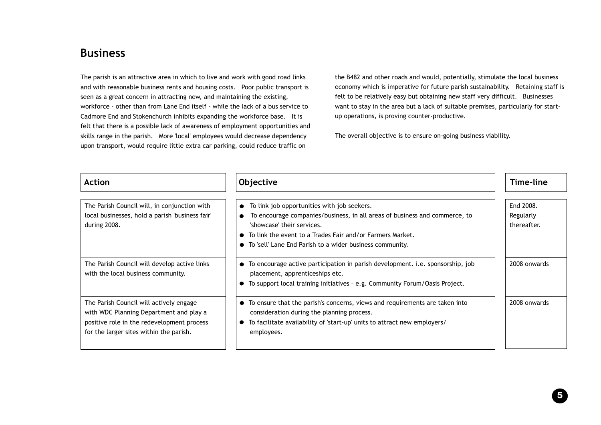## **Business**

The parish is an attractive area in which to live and work with good road links and with reasonable business rents and housing costs. Poor public transport is seen as a great concern in attracting new, and maintaining the existing, workforce - other than from Lane End itself - while the lack of a bus service to Cadmore End and Stokenchurch inhibits expanding the workforce base. It is felt that there is a possible lack of awareness of employment opportunities and skills range in the parish. More 'local' employees would decrease dependency upon transport, would require little extra car parking, could reduce traffic on

the B482 and other roads and would, potentially, stimulate the local business economy which is imperative for future parish sustainability. Retaining staff is felt to be relatively easy but obtaining new staff very difficult. Businesses want to stay in the area but a lack of suitable premises, particularly for startup operations, is proving counter-productive.

The overall objective is to ensure on-going business viability.

| <b>Action</b>                                                                                                                                                               | Objective                                                                                                                                                                                                                                                                                                  | Time-line                             |
|-----------------------------------------------------------------------------------------------------------------------------------------------------------------------------|------------------------------------------------------------------------------------------------------------------------------------------------------------------------------------------------------------------------------------------------------------------------------------------------------------|---------------------------------------|
| The Parish Council will, in conjunction with<br>local businesses, hold a parish 'business fair'<br>during 2008.                                                             | To link job opportunities with job seekers.<br>$\bullet$<br>To encourage companies/business, in all areas of business and commerce, to<br>$\bullet$<br>'showcase' their services.<br>To link the event to a Trades Fair and/or Farmers Market.<br>To 'sell' Lane End Parish to a wider business community. | End 2008.<br>Regularly<br>thereafter. |
| The Parish Council will develop active links<br>with the local business community.                                                                                          | • To encourage active participation in parish development. i.e. sponsorship, job<br>placement, apprenticeships etc.<br>To support local training initiatives - e.g. Community Forum/Oasis Project.                                                                                                         | 2008 onwards                          |
| The Parish Council will actively engage<br>with WDC Planning Department and play a<br>positive role in the redevelopment process<br>for the larger sites within the parish. | • To ensure that the parish's concerns, views and requirements are taken into<br>consideration during the planning process.<br>To facilitate availability of 'start-up' units to attract new employers/<br>$\bullet$<br>employees.                                                                         | 2008 onwards                          |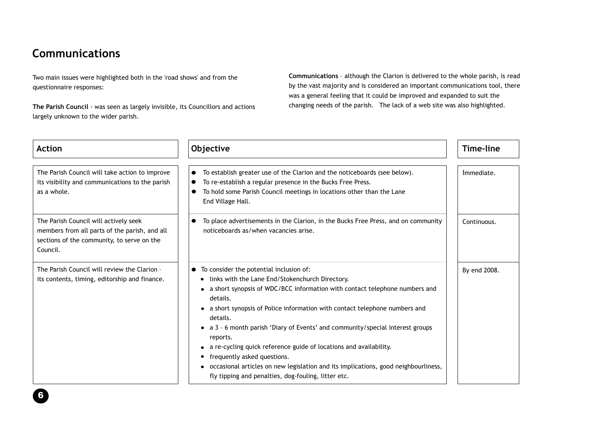# **Communications**

Two main issues were highlighted both in the 'road shows' and from the questionnaire responses:

**The Parish Council** - was seen as largely invisible, its Councillors and actions largely unknown to the wider parish.

**Communications** – although the Clarion is delivered to the whole parish, is read by the vast majority and is considered an important communications tool, there was a general feeling that it could be improved and expanded to suit the changing needs of the parish. The lack of a web site was also highlighted.

| <b>Action</b>                                                                                                                                    | Objective                                                                                                                                                                                                                                                                                                                                                                                                                                                                                                                                                                                                                            | Time-line    |
|--------------------------------------------------------------------------------------------------------------------------------------------------|--------------------------------------------------------------------------------------------------------------------------------------------------------------------------------------------------------------------------------------------------------------------------------------------------------------------------------------------------------------------------------------------------------------------------------------------------------------------------------------------------------------------------------------------------------------------------------------------------------------------------------------|--------------|
| The Parish Council will take action to improve<br>its visibility and communications to the parish<br>as a whole.                                 | To establish greater use of the Clarion and the noticeboards (see below).<br>To re-establish a regular presence in the Bucks Free Press.<br>To hold some Parish Council meetings in locations other than the Lane<br>End Village Hall.                                                                                                                                                                                                                                                                                                                                                                                               | Immediate.   |
| The Parish Council will actively seek<br>members from all parts of the parish, and all<br>sections of the community, to serve on the<br>Council. | To place advertisements in the Clarion, in the Bucks Free Press, and on community<br>noticeboards as/when vacancies arise.                                                                                                                                                                                                                                                                                                                                                                                                                                                                                                           | Continuous.  |
| The Parish Council will review the Clarion -<br>its contents, timing, editorship and finance.                                                    | To consider the potential inclusion of:<br>• links with the Lane End/Stokenchurch Directory.<br>• a short synopsis of WDC/BCC information with contact telephone numbers and<br>details.<br>• a short synopsis of Police information with contact telephone numbers and<br>details.<br>• a 3 - 6 month parish 'Diary of Events' and community/special interest groups<br>reports.<br>a re-cycling quick reference guide of locations and availability.<br>frequently asked questions.<br>• occasional articles on new legislation and its implications, good neighbourliness,<br>fly tipping and penalties, dog-fouling, litter etc. | By end 2008. |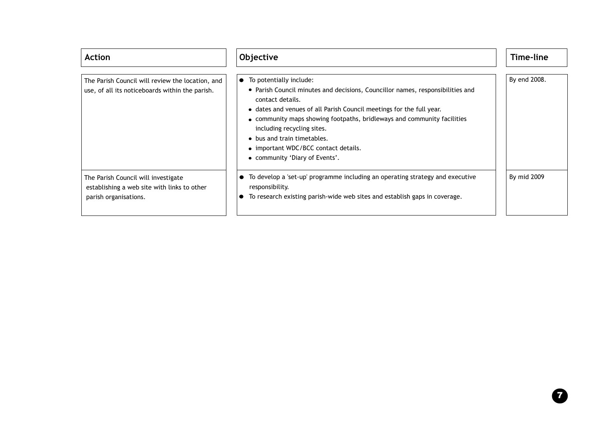| <b>Action</b>                                                                                               | Objective                                                                                                                                                                                                                                                                                                                                                                                                                            | Time-line    |
|-------------------------------------------------------------------------------------------------------------|--------------------------------------------------------------------------------------------------------------------------------------------------------------------------------------------------------------------------------------------------------------------------------------------------------------------------------------------------------------------------------------------------------------------------------------|--------------|
| The Parish Council will review the location, and<br>use, of all its noticeboards within the parish.         | To potentially include:<br>$\bullet$<br>• Parish Council minutes and decisions, Councillor names, responsibilities and<br>contact details.<br>• dates and venues of all Parish Council meetings for the full year.<br>• community maps showing footpaths, bridleways and community facilities<br>including recycling sites.<br>• bus and train timetables.<br>• important WDC/BCC contact details.<br>• community 'Diary of Events'. | By end 2008. |
| The Parish Council will investigate<br>establishing a web site with links to other<br>parish organisations. | To develop a 'set-up' programme including an operating strategy and executive<br>responsibility.<br>To research existing parish-wide web sites and establish gaps in coverage.                                                                                                                                                                                                                                                       | By mid 2009  |

 $\boldsymbol{\Omega}$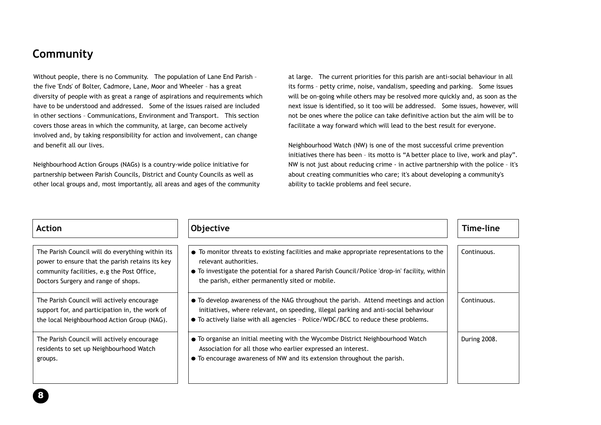# **Community**

Without people, there is no Community. The population of Lane End Parish the five 'Ends' of Bolter, Cadmore, Lane, Moor and Wheeler – has a great diversity of people with as great a range of aspirations and requirements which have to be understood and addressed. Some of the issues raised are included in other sections – Communications, Environment and Transport. This section covers those areas in which the community, at large, can become actively involved and, by taking responsibility for action and involvement, can change and benefit all our lives.

Neighbourhood Action Groups (NAGs) is a country-wide police initiative for partnership between Parish Councils, District and County Councils as well as other local groups and, most importantly, all areas and ages of the community at large. The current priorities for this parish are anti-social behaviour in all its forms – petty crime, noise, vandalism, speeding and parking. Some issues will be on-going while others may be resolved more quickly and, as soon as the next issue is identified, so it too will be addressed. Some issues, however, will not be ones where the police can take definitive action but the aim will be to facilitate a way forward which will lead to the best result for everyone.

Neighbourhood Watch (NW) is one of the most successful crime prevention initiatives there has been – its motto is "A better place to live, work and play". NW is not just about reducing crime - in active partnership with the police – it's about creating communities who care; it's about developing a community's ability to tackle problems and feel secure.

| <b>Action</b>                                                                                                                                                                            | Objective                                                                                                                                                                                                                                                           | Time-line    |
|------------------------------------------------------------------------------------------------------------------------------------------------------------------------------------------|---------------------------------------------------------------------------------------------------------------------------------------------------------------------------------------------------------------------------------------------------------------------|--------------|
| The Parish Council will do everything within its<br>power to ensure that the parish retains its key<br>community facilities, e.g the Post Office,<br>Doctors Surgery and range of shops. | • To monitor threats to existing facilities and make appropriate representations to the<br>relevant authorities.<br>• To investigate the potential for a shared Parish Council/Police 'drop-in' facility, within<br>the parish, either permanently sited or mobile. | Continuous.  |
| The Parish Council will actively encourage<br>support for, and participation in, the work of<br>the local Neighbourhood Action Group (NAG).                                              | • To develop awareness of the NAG throughout the parish. Attend meetings and action<br>initiatives, where relevant, on speeding, illegal parking and anti-social behaviour<br>• To actively liaise with all agencies - Police/WDC/BCC to reduce these problems.     | Continuous.  |
| The Parish Council will actively encourage<br>residents to set up Neighbourhood Watch<br>groups.                                                                                         | • To organise an initial meeting with the Wycombe District Neighbourhood Watch<br>Association for all those who earlier expressed an interest.<br>• To encourage awareness of NW and its extension throughout the parish.                                           | During 2008. |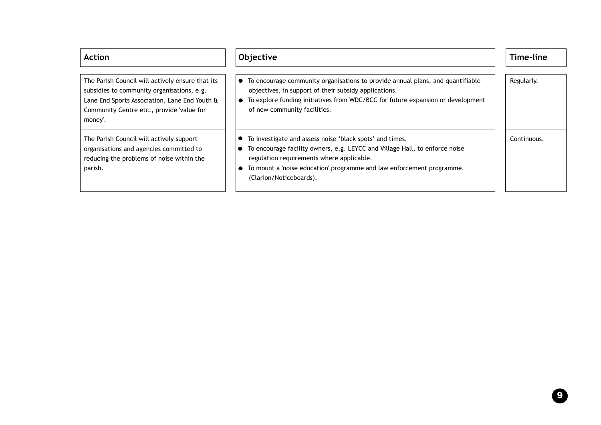The Parish Council will actively ensure that its subsidies to community organisations, e.g. Lane End Sports Association, Lane End Youth & Community Centre etc., provide 'value for money'.

The Parish Council will actively support organisations and agencies committed to reducing the problems of noise within the parish.

Regularly. Continuous. Action | |Objective | | Time-line To encourage community organisations to provide annual plans, and quantifiable objectives, in support of their subsidy applications. ● To explore funding initiatives from WDC/BCC for future expansion or development of new community facilities. To investigate and assess noise 'black spots' and times.  $\bullet$  To encourage facility owners, e.g. LEYCC and Village Hall, to enforce noise regulation requirements where applicable. To mount a 'noise education' programme and law enforcement programme. (Clarion/Noticeboards).

9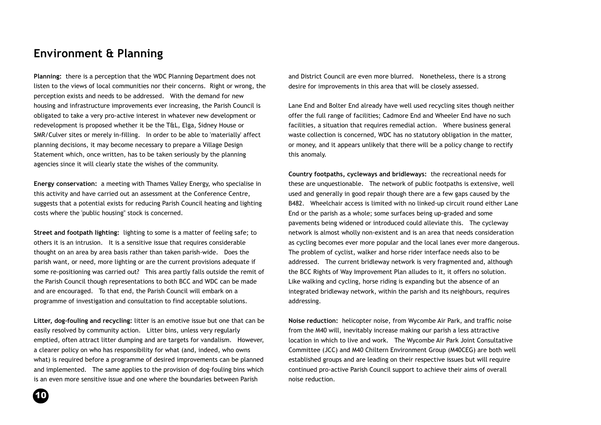# **Environment & Planning**

**Planning:** there is a perception that the WDC Planning Department does not listen to the views of local communities nor their concerns. Right or wrong, the perception exists and needs to be addressed. With the demand for new housing and infrastructure improvements ever increasing, the Parish Council is obligated to take a very pro-active interest in whatever new development or redevelopment is proposed whether it be the T&L, Elga, Sidney House or SMR/Culver sites or merely in-filling. In order to be able to 'materially' affect planning decisions, it may become necessary to prepare a Village Design Statement which, once written, has to be taken seriously by the planning agencies since it will clearly state the wishes of the community.

**Energy conservation:** a meeting with Thames Valley Energy, who specialise in this activity and have carried out an assessment at the Conference Centre, suggests that a potential exists for reducing Parish Council heating and lighting costs where the 'public housing'' stock is concerned.

**Street and footpath lighting:** lighting to some is a matter of feeling safe; to others it is an intrusion. It is a sensitive issue that requires considerable thought on an area by area basis rather than taken parish-wide. Does the parish want, or need, more lighting or are the current provisions adequate if some re-positioning was carried out? This area partly falls outside the remit of the Parish Council though representations to both BCC and WDC can be made and are encouraged. To that end, the Parish Council will embark on a programme of investigation and consultation to find acceptable solutions.

**Litter, dog-fouling and recycling:** litter is an emotive issue but one that can be easily resolved by community action. Litter bins, unless very regularly emptied, often attract litter dumping and are targets for vandalism. However, a clearer policy on who has responsibility for what (and, indeed, who owns what) is required before a programme of desired improvements can be planned and implemented. The same applies to the provision of dog-fouling bins which is an even more sensitive issue and one where the boundaries between Parish

and District Council are even more blurred. Nonetheless, there is a strong desire for improvements in this area that will be closely assessed.

Lane End and Bolter End already have well used recycling sites though neither offer the full range of facilities; Cadmore End and Wheeler End have no such facilities, a situation that requires remedial action. Where business general waste collection is concerned, WDC has no statutory obligation in the matter, or money, and it appears unlikely that there will be a policy change to rectify this anomaly.

**Country footpaths, cycleways and bridleways:** the recreational needs for these are unquestionable. The network of public footpaths is extensive, well used and generally in good repair though there are a few gaps caused by the B482. Wheelchair access is limited with no linked-up circuit round either Lane End or the parish as a whole; some surfaces being up-graded and some pavements being widened or introduced could alleviate this. The cycleway network is almost wholly non-existent and is an area that needs consideration as cycling becomes ever more popular and the local lanes ever more dangerous. The problem of cyclist, walker and horse rider interface needs also to be addressed. The current bridleway network is very fragmented and, although the BCC Rights of Way Improvement Plan alludes to it, it offers no solution. Like walking and cycling, horse riding is expanding but the absence of an integrated bridleway network, within the parish and its neighbours, requires addressing.

**Noise reduction:** helicopter noise, from Wycombe Air Park, and traffic noise from the M40 will, inevitably increase making our parish a less attractive location in which to live and work. The Wycombe Air Park Joint Consultative Committee (JCC) and M40 Chiltern Environment Group (M40CEG) are both well established groups and are leading on their respective issues but will require continued pro-active Parish Council support to achieve their aims of overall noise reduction.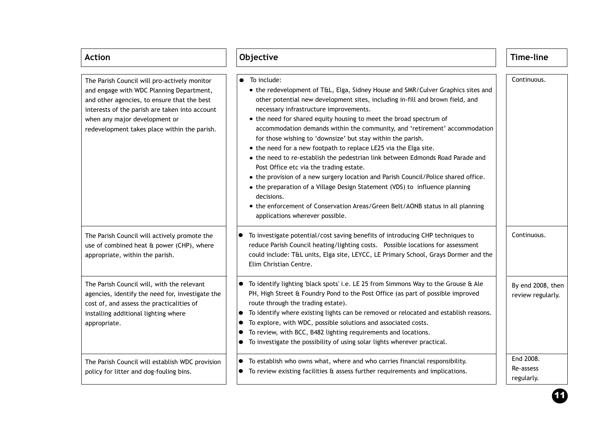| <b>Action</b>                                                                                                                                                                                                                                                              | Objective                                                                                                                                                                                                                                                                                                                                                                                                                                                                                                                                                                                                                                                                                                                                                                                                                                                                                                                                              | Time-line                              |
|----------------------------------------------------------------------------------------------------------------------------------------------------------------------------------------------------------------------------------------------------------------------------|--------------------------------------------------------------------------------------------------------------------------------------------------------------------------------------------------------------------------------------------------------------------------------------------------------------------------------------------------------------------------------------------------------------------------------------------------------------------------------------------------------------------------------------------------------------------------------------------------------------------------------------------------------------------------------------------------------------------------------------------------------------------------------------------------------------------------------------------------------------------------------------------------------------------------------------------------------|----------------------------------------|
| The Parish Council will pro-actively monitor<br>and engage with WDC Planning Department,<br>and other agencies, to ensure that the best<br>interests of the parish are taken into account<br>when any major development or<br>redevelopment takes place within the parish. | To include:<br>• the redevelopment of T&L, Elga, Sidney House and SMR/Culver Graphics sites and<br>other potential new development sites, including in-fill and brown field, and<br>necessary infrastructure improvements.<br>• the need for shared equity housing to meet the broad spectrum of<br>accommodation demands within the community, and 'retirement' accommodation<br>for those wishing to 'downsize' but stay within the parish.<br>• the need for a new footpath to replace LE25 via the Elga site.<br>• the need to re-establish the pedestrian link between Edmonds Road Parade and<br>Post Office etc via the trading estate.<br>• the provision of a new surgery location and Parish Council/Police shared office.<br>• the preparation of a Village Design Statement (VDS) to influence planning<br>decisions.<br>• the enforcement of Conservation Areas/Green Belt/AONB status in all planning<br>applications wherever possible. | Continuous.                            |
| The Parish Council will actively promote the<br>use of combined heat & power (CHP), where<br>appropriate, within the parish.                                                                                                                                               | To investigate potential/cost saving benefits of introducing CHP techniques to<br>reduce Parish Council heating/lighting costs.  Possible locations for assessment<br>could include: T&L units, Elga site, LEYCC, LE Primary School, Grays Dormer and the<br>Elim Christian Centre.                                                                                                                                                                                                                                                                                                                                                                                                                                                                                                                                                                                                                                                                    | Continuous.                            |
| The Parish Council will, with the relevant<br>agencies, identify the need for, investigate the<br>cost of, and assess the practicalities of<br>installing additional lighting where<br>appropriate.                                                                        | To identify lighting 'black spots' i.e. LE 25 from Simmons Way to the Grouse & Ale<br>$\bullet$<br>PH, High Street & Foundry Pond to the Post Office (as part of possible improved<br>route through the trading estate).<br>To identify where existing lights can be removed or relocated and establish reasons.<br>To explore, with WDC, possible solutions and associated costs.<br>To review, with BCC, B482 lighting requirements and locations.<br>To investigate the possibility of using solar lights wherever practical.                                                                                                                                                                                                                                                                                                                                                                                                                       | By end 2008, then<br>review regularly. |
| The Parish Council will establish WDC provision<br>policy for litter and dog-fouling bins.                                                                                                                                                                                 | To establish who owns what, where and who carries financial responsibility.<br>●<br>To review existing facilities & assess further requirements and implications.                                                                                                                                                                                                                                                                                                                                                                                                                                                                                                                                                                                                                                                                                                                                                                                      | End 2008.<br>Re-assess<br>regularly.   |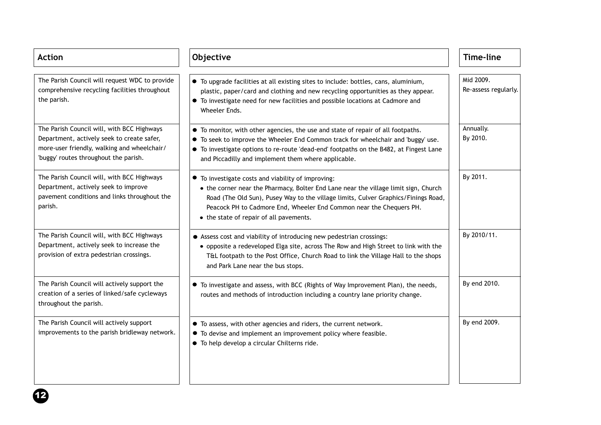| <b>Action</b>                                                                                                                                                                    | Objective                                                                                                                                                                                                                                                                                                                                         | <b>Time-line</b>                  |
|----------------------------------------------------------------------------------------------------------------------------------------------------------------------------------|---------------------------------------------------------------------------------------------------------------------------------------------------------------------------------------------------------------------------------------------------------------------------------------------------------------------------------------------------|-----------------------------------|
| The Parish Council will request WDC to provide<br>comprehensive recycling facilities throughout<br>the parish.                                                                   | • To upgrade facilities at all existing sites to include: bottles, cans, aluminium,<br>plastic, paper/card and clothing and new recycling opportunities as they appear.<br>• To investigate need for new facilities and possible locations at Cadmore and<br>Wheeler Ends.                                                                        | Mid 2009.<br>Re-assess regularly. |
| The Parish Council will, with BCC Highways<br>Department, actively seek to create safer,<br>more-user friendly, walking and wheelchair/<br>'buggy' routes throughout the parish. | • To monitor, with other agencies, the use and state of repair of all footpaths.<br>• To seek to improve the Wheeler End Common track for wheelchair and 'buggy' use.<br>• To investigate options to re-route 'dead-end' footpaths on the B482, at Fingest Lane<br>and Piccadilly and implement them where applicable.                            | Annually.<br>By 2010.             |
| The Parish Council will, with BCC Highways<br>Department, actively seek to improve<br>pavement conditions and links throughout the<br>parish.                                    | • To investigate costs and viability of improving:<br>• the corner near the Pharmacy, Bolter End Lane near the village limit sign, Church<br>Road (The Old Sun), Pusey Way to the village limits, Culver Graphics/Finings Road,<br>Peacock PH to Cadmore End, Wheeler End Common near the Chequers PH.<br>• the state of repair of all pavements. | By 2011.                          |
| The Parish Council will, with BCC Highways<br>Department, actively seek to increase the<br>provision of extra pedestrian crossings.                                              | • Assess cost and viability of introducing new pedestrian crossings:<br>• opposite a redeveloped Elga site, across The Row and High Street to link with the<br>T&L footpath to the Post Office, Church Road to link the Village Hall to the shops<br>and Park Lane near the bus stops.                                                            | By 2010/11.                       |
| The Parish Council will actively support the<br>creation of a series of linked/safe cycleways<br>throughout the parish.                                                          | • To investigate and assess, with BCC (Rights of Way Improvement Plan), the needs,<br>routes and methods of introduction including a country lane priority change.                                                                                                                                                                                | By end 2010.                      |
| The Parish Council will actively support<br>improvements to the parish bridleway network.                                                                                        | • To assess, with other agencies and riders, the current network.<br>• To devise and implement an improvement policy where feasible.<br>• To help develop a circular Chilterns ride.                                                                                                                                                              | By end 2009.                      |

 $\bigoplus$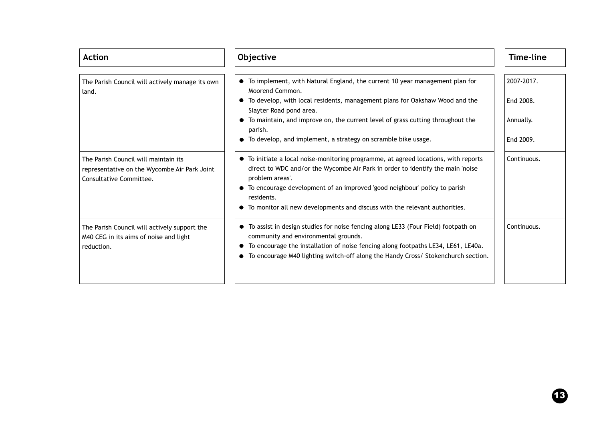| <b>Action</b>                                                                                                   | Objective                                                                                                                                                                                                                                                                                                                                                             | <b>Time-line</b> |
|-----------------------------------------------------------------------------------------------------------------|-----------------------------------------------------------------------------------------------------------------------------------------------------------------------------------------------------------------------------------------------------------------------------------------------------------------------------------------------------------------------|------------------|
| The Parish Council will actively manage its own<br>land.                                                        | • To implement, with Natural England, the current 10 year management plan for<br>Moorend Common.                                                                                                                                                                                                                                                                      | 2007-2017.       |
|                                                                                                                 | To develop, with local residents, management plans for Oakshaw Wood and the<br>Slayter Road pond area.                                                                                                                                                                                                                                                                | End 2008.        |
|                                                                                                                 | • To maintain, and improve on, the current level of grass cutting throughout the<br>parish.                                                                                                                                                                                                                                                                           | Annually.        |
|                                                                                                                 | • To develop, and implement, a strategy on scramble bike usage.                                                                                                                                                                                                                                                                                                       | End 2009.        |
| The Parish Council will maintain its<br>representative on the Wycombe Air Park Joint<br>Consultative Committee. | • To initiate a local noise-monitoring programme, at agreed locations, with reports<br>direct to WDC and/or the Wycombe Air Park in order to identify the main 'noise<br>problem areas'.<br>• To encourage development of an improved 'good neighbour' policy to parish<br>residents.<br>• To monitor all new developments and discuss with the relevant authorities. | Continuous.      |
| The Parish Council will actively support the<br>M40 CEG in its aims of noise and light<br>reduction.            | • To assist in design studies for noise fencing along LE33 (Four Field) footpath on<br>community and environmental grounds.<br>• To encourage the installation of noise fencing along footpaths LE34, LE61, LE40a.<br>• To encourage M40 lighting switch-off along the Handy Cross/ Stokenchurch section.                                                             | Continuous.      |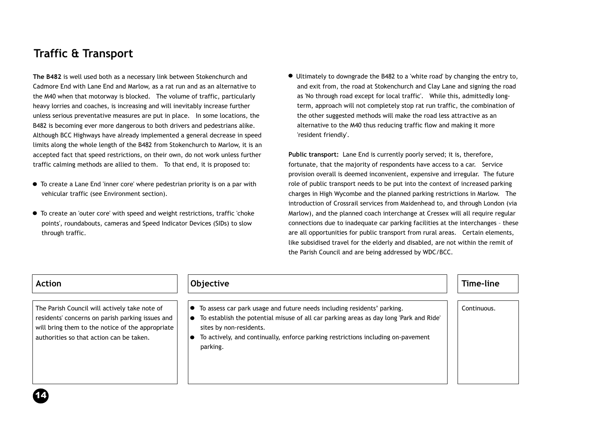# **Traffic & Transport**

**The B482** is well used both as a necessary link between Stokenchurch and Cadmore End with Lane End and Marlow, as a rat run and as an alternative to the M40 when that motorway is blocked. The volume of traffic, particularly heavy lorries and coaches, is increasing and will inevitably increase further unless serious preventative measures are put in place. In some locations, the B482 is becoming ever more dangerous to both drivers and pedestrians alike. Although BCC Highways have already implemented a general decrease in speed limits along the whole length of the B482 from Stokenchurch to Marlow, it is an accepted fact that speed restrictions, on their own, do not work unless further traffic calming methods are allied to them. To that end, it is proposed to:

- To create a Lane End 'inner core' where pedestrian priority is on a par with vehicular traffic (see Environment section).
- To create an 'outer core' with speed and weight restrictions, traffic 'choke points', roundabouts, cameras and Speed Indicator Devices (SIDs) to slow through traffic.

Ultimately to downgrade the B482 to a 'white road' by changing the entry to, and exit from, the road at Stokenchurch and Clay Lane and signing the road as 'No through road except for local traffic'. While this, admittedly longterm, approach will not completely stop rat run traffic, the combination of the other suggested methods will make the road less attractive as an alternative to the M40 thus reducing traffic flow and making it more 'resident friendly'.

**Public transport:** Lane End is currently poorly served; it is, therefore, fortunate, that the majority of respondents have access to a car. Service provision overall is deemed inconvenient, expensive and irregular. The future role of public transport needs to be put into the context of increased parking charges in High Wycombe and the planned parking restrictions in Marlow. The introduction of Crossrail services from Maidenhead to, and through London (via Marlow), and the planned coach interchange at Cressex will all require regular connections due to inadequate car parking facilities at the interchanges – these are all opportunities for public transport from rural areas. Certain elements, like subsidised travel for the elderly and disabled, are not within the remit of the Parish Council and are being addressed by WDC/BCC.

| <b>Action</b>                                                                                                                                                                                     | Objective                                                                                                                                                                                                                                                                                                 | Time-line   |
|---------------------------------------------------------------------------------------------------------------------------------------------------------------------------------------------------|-----------------------------------------------------------------------------------------------------------------------------------------------------------------------------------------------------------------------------------------------------------------------------------------------------------|-------------|
| The Parish Council will actively take note of<br>residents' concerns on parish parking issues and<br>will bring them to the notice of the appropriate<br>authorities so that action can be taken. | To assess car park usage and future needs including residents' parking.<br>$\bullet$<br>To establish the potential misuse of all car parking areas as day long 'Park and Ride'<br>sites by non-residents.<br>To actively, and continually, enforce parking restrictions including on-pavement<br>parking. | Continuous. |
|                                                                                                                                                                                                   |                                                                                                                                                                                                                                                                                                           |             |